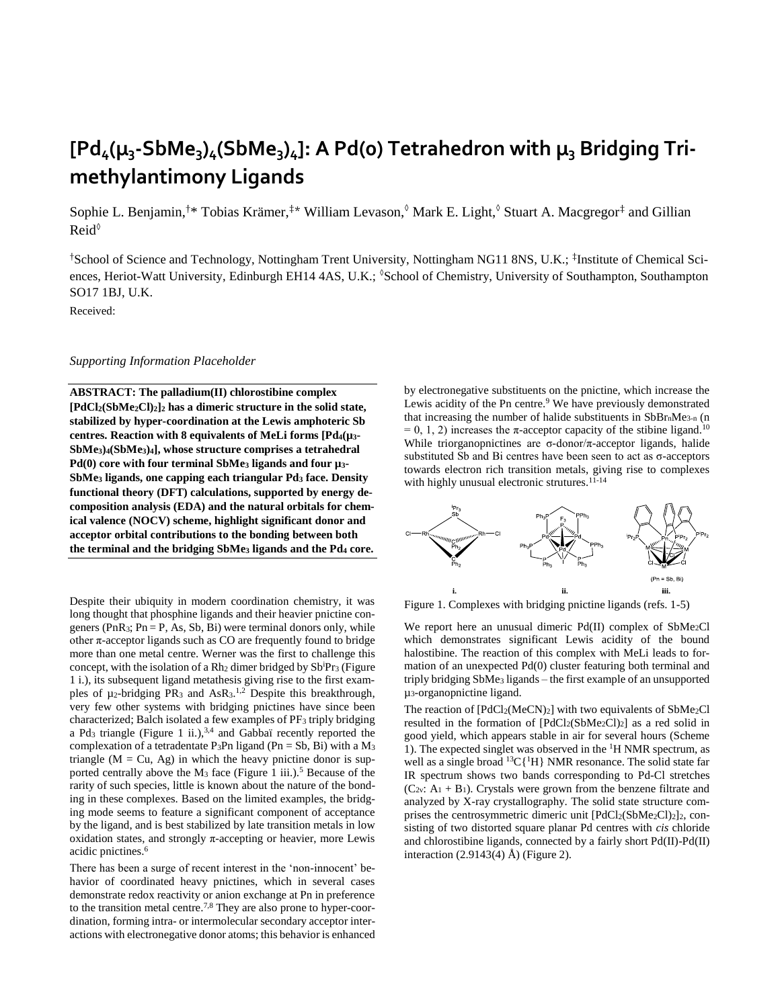# $[Pd_4(\mu_3\text{-}SbMe_3)_4(SbMe_3)_4]$ : A Pd(o) Tetrahedron with  $\mu_3$  Bridging Tri**methylantimony Ligands**

Sophie L. Benjamin,<sup>†\*</sup> Tobias Krämer,<sup>‡\*</sup> William Levason, ©Mark E. Light, ©Stuart A. Macgregor<sup>‡</sup> and Gillian Reid◊

†School of Science and Technology, Nottingham Trent University, Nottingham NG11 8NS, U.K.; ‡ Institute of Chemical Sciences, Heriot-Watt University, Edinburgh EH14 4AS, U.K.; <sup>8</sup>School of Chemistry, University of Southampton, Southampton SO17 1BJ, U.K.

Received:

#### *Supporting Information Placeholder*

**ABSTRACT: The palladium(II) chlorostibine complex [PdCl2(SbMe2Cl)2]<sup>2</sup> has a dimeric structure in the solid state, stabilized by hyper-coordination at the Lewis amphoteric Sb centres. Reaction with 8 equivalents of MeLi forms [Pd4(µ3- SbMe3)4(SbMe3)4], whose structure comprises a tetrahedral Pd(0) core with four terminal SbMe<sup>3</sup> ligands and four µ3- SbMe<sup>3</sup> ligands, one capping each triangular Pd<sup>3</sup> face. Density functional theory (DFT) calculations, supported by energy decomposition analysis (EDA) and the natural orbitals for chemical valence (NOCV) scheme, highlight significant donor and acceptor orbital contributions to the bonding between both the terminal and the bridging SbMe<sup>3</sup> ligands and the Pd<sup>4</sup> core.**

Despite their ubiquity in modern coordination chemistry, it was long thought that phosphine ligands and their heavier pnictine congeners (PnR<sub>3</sub>; Pn = P, As, Sb, Bi) were terminal donors only, while other  $\pi$ -acceptor ligands such as CO are frequently found to bridge more than one metal centre. Werner was the first to challenge this concept, with the isolation of a Rh<sub>2</sub> dimer bridged by  $Sb<sup>i</sup>Pr<sub>3</sub>$  (Figure 1 i.), its subsequent ligand metathesis giving rise to the first examples of  $\mu_2$ -bridging PR<sub>3</sub> and AsR<sub>3</sub>.<sup>1,2</sup> Despite this breakthrough, very few other systems with bridging pnictines have since been characterized; Balch isolated a few examples of PF<sup>3</sup> triply bridging a Pd<sub>3</sub> triangle (Figure 1 ii.), $3,4$  and Gabbaï recently reported the complexation of a tetradentate P<sub>3</sub>Pn ligand (Pn = Sb, Bi) with a  $M_3$ triangle  $(M = Cu, Ag)$  in which the heavy pnictine donor is supported centrally above the M<sub>3</sub> face (Figure 1 iii.).<sup>5</sup> Because of the rarity of such species, little is known about the nature of the bonding in these complexes. Based on the limited examples, the bridging mode seems to feature a significant component of acceptance by the ligand, and is best stabilized by late transition metals in low oxidation states, and strongly π-accepting or heavier, more Lewis acidic pnictines. 6

There has been a surge of recent interest in the 'non-innocent' behavior of coordinated heavy pnictines, which in several cases demonstrate redox reactivity or anion exchange at Pn in preference to the transition metal centre. 7,8 They are also prone to hyper-coordination, forming intra- or intermolecular secondary acceptor interactions with electronegative donor atoms; this behavior is enhanced by electronegative substituents on the pnictine, which increase the Lewis acidity of the Pn centre.<sup>9</sup> We have previously demonstrated that increasing the number of halide substituents in  $SbBr_nMe_{3-n}$  (n  $= 0, 1, 2$ ) increases the π-acceptor capacity of the stibine ligand.<sup>10</sup> While triorganopnictines are  $\sigma$ -donor/ $\pi$ -acceptor ligands, halide substituted Sb and Bi centres have been seen to act as σ-acceptors towards electron rich transition metals, giving rise to complexes with highly unusual electronic strutures.<sup>11-14</sup>



Figure 1. Complexes with bridging pnictine ligands (refs. 1-5)

We report here an unusual dimeric Pd(II) complex of SbMe<sub>2</sub>Cl which demonstrates significant Lewis acidity of the bound halostibine. The reaction of this complex with MeLi leads to formation of an unexpected Pd(0) cluster featuring both terminal and triply bridging SbMe<sub>3</sub> ligands – the first example of an unsupported µ3-organopnictine ligand.

The reaction of  $[PdCl_2(MeCN)_2]$  with two equivalents of SbMe<sub>2</sub>Cl resulted in the formation of [PdCl2(SbMe2Cl)2] as a red solid in good yield, which appears stable in air for several hours (Scheme 1). The expected singlet was observed in the <sup>1</sup>H NMR spectrum, as well as a single broad  ${}^{13}C[{^1}H]$  NMR resonance. The solid state far IR spectrum shows two bands corresponding to Pd-Cl stretches  $(C_{2v}: A_1 + B_1)$ . Crystals were grown from the benzene filtrate and analyzed by X-ray crystallography. The solid state structure comprises the centrosymmetric dimeric unit  $[PdCl_2(SbMe<sub>2</sub>Cl)<sub>2</sub>]$ <sub>2</sub>, consisting of two distorted square planar Pd centres with *cis* chloride and chlorostibine ligands, connected by a fairly short Pd(II)-Pd(II) interaction (2.9143(4) Å) (Figure 2).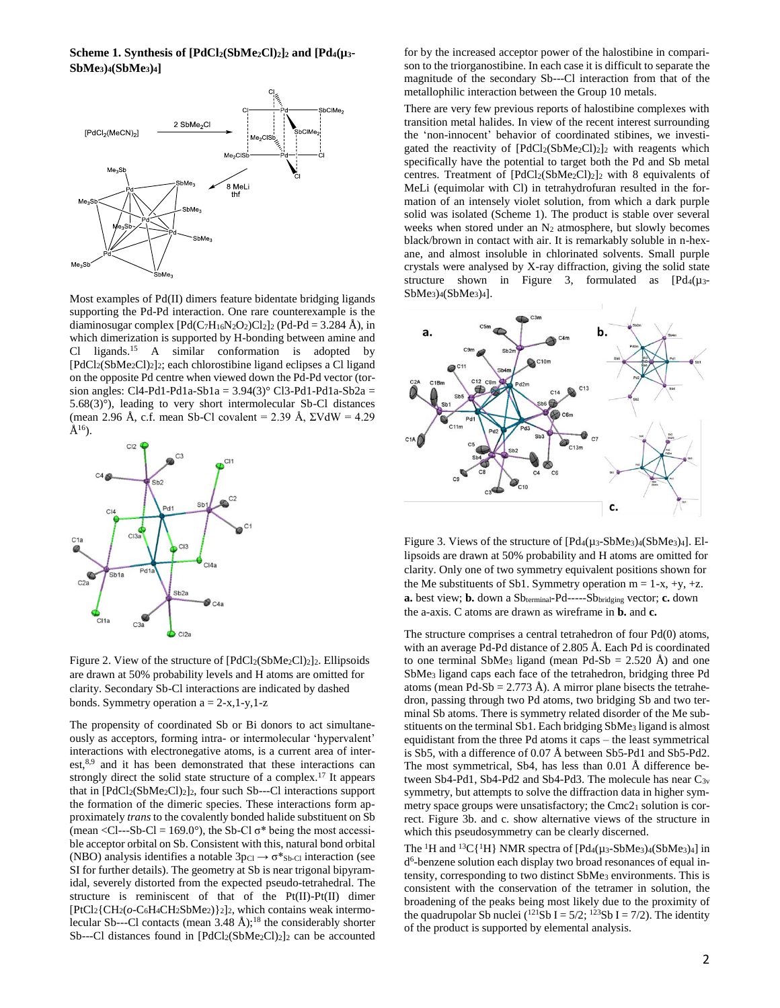#### **Scheme 1. Synthesis of [PdCl2(SbMe2Cl)2]<sup>2</sup> and [Pd4(µ3- SbMe3)4(SbMe3)4]**



Most examples of Pd(II) dimers feature bidentate bridging ligands supporting the Pd-Pd interaction. One rare counterexample is the diaminosugar complex  $[Pd(C_7H_{16}N_2O_2)Cl_2]_2$  (Pd-Pd = 3.284 Å), in which dimerization is supported by H-bonding between amine and Cl ligands.<sup>15</sup> A similar conformation is adopted by [PdCl2(SbMe2Cl)2]2; each chlorostibine ligand eclipses a Cl ligand on the opposite Pd centre when viewed down the Pd-Pd vector (torsion angles: Cl4-Pd1-Pd1a-Sb1a = 3.94(3)° Cl3-Pd1-Pd1a-Sb2a = 5.68(3)°), leading to very short intermolecular Sb-Cl distances (mean 2.96 Å, c.f. mean Sb-Cl covalent = 2.39 Å,  $\Sigma VdW = 4.29$  $A^{16}$ ).



Figure 2. View of the structure of  $[PdCl_2(SbMe_2Cl)_2]$ <sub>2</sub>. Ellipsoids are drawn at 50% probability levels and H atoms are omitted for clarity. Secondary Sb-Cl interactions are indicated by dashed bonds. Symmetry operation  $a = 2-x, 1-y, 1-z$ 

The propensity of coordinated Sb or Bi donors to act simultaneously as acceptors, forming intra- or intermolecular 'hypervalent' interactions with electronegative atoms, is a current area of interest,<sup>8,9</sup> and it has been demonstrated that these interactions can strongly direct the solid state structure of a complex.<sup>17</sup> It appears that in [PdCl<sub>2</sub>(SbMe<sub>2</sub>Cl)<sub>2</sub>]<sub>2</sub>, four such Sb---Cl interactions support the formation of the dimeric species. These interactions form approximately *trans* to the covalently bonded halide substituent on Sb (mean <Cl---Sb-Cl = 169.0°), the Sb-Cl  $\sigma^*$  being the most accessible acceptor orbital on Sb. Consistent with this, natural bond orbital (NBO) analysis identifies a notable  $3p_{Cl} \rightarrow \sigma^*$ <sub>Sb-Cl</sub> interaction (see SI for further details). The geometry at Sb is near trigonal bipyramidal, severely distorted from the expected pseudo-tetrahedral. The structure is reminiscent of that of the Pt(II)-Pt(II) dimer [PtCl2{CH2(*o*-C6H4CH2SbMe2)}2]2, which contains weak intermolecular Sb---Cl contacts (mean  $3.48 \text{ Å}$ );<sup>18</sup> the considerably shorter Sb---Cl distances found in [PdCl<sub>2</sub>(SbMe<sub>2</sub>Cl)<sub>2</sub>]<sub>2</sub> can be accounted

for by the increased acceptor power of the halostibine in comparison to the triorganostibine. In each case it is difficult to separate the magnitude of the secondary Sb---Cl interaction from that of the metallophilic interaction between the Group 10 metals.

There are very few previous reports of halostibine complexes with transition metal halides. In view of the recent interest surrounding the 'non-innocent' behavior of coordinated stibines, we investigated the reactivity of  $[PdCl_2(SbMe_2Cl)_2]$  with reagents which specifically have the potential to target both the Pd and Sb metal centres. Treatment of [PdCl2(SbMe2Cl)2]<sup>2</sup> with 8 equivalents of MeLi (equimolar with Cl) in tetrahydrofuran resulted in the formation of an intensely violet solution, from which a dark purple solid was isolated (Scheme 1). The product is stable over several weeks when stored under an N<sub>2</sub> atmosphere, but slowly becomes black/brown in contact with air. It is remarkably soluble in n-hexane, and almost insoluble in chlorinated solvents. Small purple crystals were analysed by X-ray diffraction, giving the solid state structure shown in Figure 3, formulated as  $[Pd_4(\mu_3+P_4(\mu_4)]$  $SbMe<sub>3</sub>$ <sub>4</sub>( $SbMe<sub>3</sub>$ <sub>)<sup>4</sup></sub>].



Figure 3. Views of the structure of  $[Pd_4(\mu_3-SbMe_3)_4(SbMe_3)_4]$ . Ellipsoids are drawn at 50% probability and H atoms are omitted for clarity. Only one of two symmetry equivalent positions shown for the Me substituents of Sb1. Symmetry operation  $m = 1-x$ , +y, +z. **a.** best view; **b.** down a Sbterminal-Pd-----Sbbridging vector; **c.** down the a-axis. C atoms are drawn as wireframe in **b.** and **c.**

The structure comprises a central tetrahedron of four Pd(0) atoms, with an average Pd-Pd distance of 2.805 Å. Each Pd is coordinated to one terminal SbMe<sub>3</sub> ligand (mean Pd-Sb  $= 2.520$  Å) and one SbMe<sup>3</sup> ligand caps each face of the tetrahedron, bridging three Pd atoms (mean Pd-Sb =  $2.773$  Å). A mirror plane bisects the tetrahedron, passing through two Pd atoms, two bridging Sb and two terminal Sb atoms. There is symmetry related disorder of the Me substituents on the terminal Sb1. Each bridging SbMe<sup>3</sup> ligand is almost equidistant from the three Pd atoms it caps – the least symmetrical is Sb5, with a difference of 0.07 Å between Sb5-Pd1 and Sb5-Pd2. The most symmetrical, Sb4, has less than 0.01 Å difference between Sb4-Pd1, Sb4-Pd2 and Sb4-Pd3. The molecule has near  $C_{3v}$ symmetry, but attempts to solve the diffraction data in higher symmetry space groups were unsatisfactory; the Cmc21 solution is correct. Figure 3b. and c. show alternative views of the structure in which this pseudosymmetry can be clearly discerned.

The <sup>1</sup>H and <sup>13</sup>C{<sup>1</sup>H} NMR spectra of  $[Pd_4(\mu_3-SbMe_3)_4(SbMe_3)_4]$  in d 6 -benzene solution each display two broad resonances of equal intensity, corresponding to two distinct SbMe<sup>3</sup> environments. This is consistent with the conservation of the tetramer in solution, the broadening of the peaks being most likely due to the proximity of the quadrupolar Sb nuclei ( $^{121}Sb I = 5/2$ ;  $^{123}Sb I = 7/2$ ). The identity of the product is supported by elemental analysis.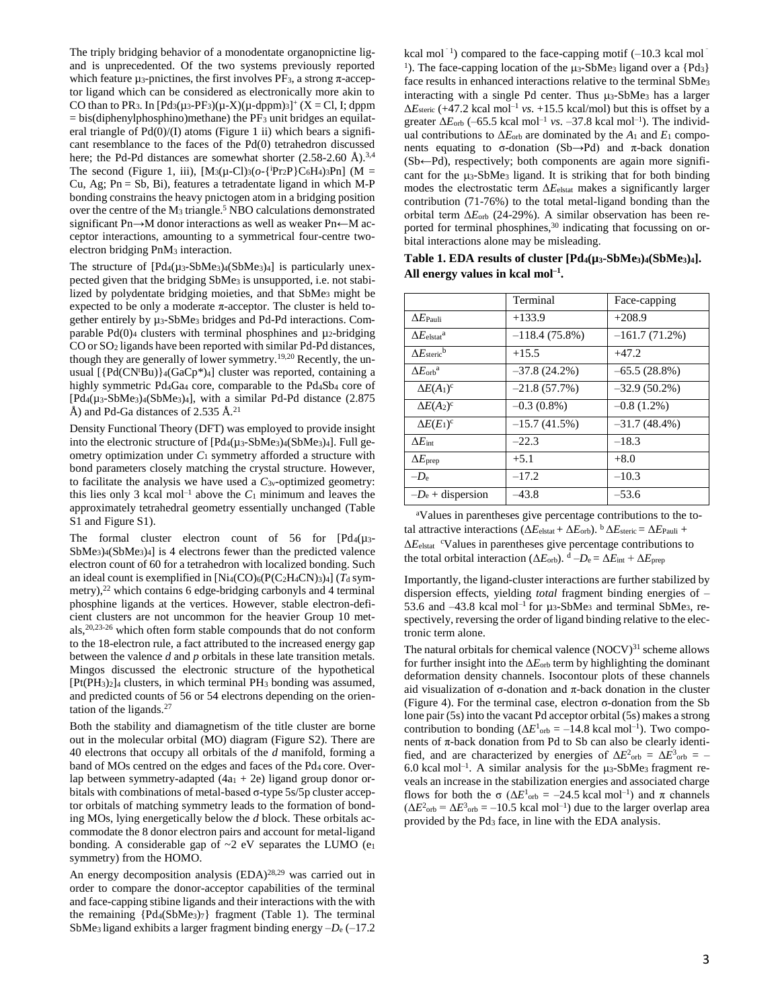The triply bridging behavior of a monodentate organopnictine ligand is unprecedented. Of the two systems previously reported which feature  $\mu_3$ -pnictines, the first involves PF<sub>3</sub>, a strong  $\pi$ -acceptor ligand which can be considered as electronically more akin to CO than to PR<sub>3</sub>. In  $[Pd_3(\mu_3-PF_3)(\mu-X)(\mu-dppm)_3]^+$  (X = Cl, I; dppm  $=$  bis(diphenylphosphino)methane) the PF<sub>3</sub> unit bridges an equilateral triangle of  $Pd(0)/(I)$  atoms (Figure 1 ii) which bears a significant resemblance to the faces of the Pd(0) tetrahedron discussed here; the Pd-Pd distances are somewhat shorter  $(2.58-2.60 \text{ Å})^{3,4}$ The second (Figure 1, iii),  $[M_3(\mu$ -Cl)<sub>3</sub>( $o$ -{<sup>i</sup>Pr<sub>2</sub>P}C<sub>6</sub>H<sub>4</sub>)<sub>3</sub>Pn] (M = Cu, Ag;  $Pn = Sb$ , Bi), features a tetradentate ligand in which M-P bonding constrains the heavy pnictogen atom in a bridging position over the centre of the M<sub>3</sub> triangle.<sup>5</sup> NBO calculations demonstrated significant Pn→M donor interactions as well as weaker Pn←M acceptor interactions, amounting to a symmetrical four-centre twoelectron bridging PnM<sup>3</sup> interaction.

The structure of  $[Pd_4(\mu_3-SbMe_3)_4(SbMe_3)_4]$  is particularly unexpected given that the bridging SbMe<sup>3</sup> is unsupported, i.e. not stabilized by polydentate bridging moieties, and that SbMe<sup>3</sup> might be expected to be only a moderate  $\pi$ -acceptor. The cluster is held together entirely by µ3-SbMe<sup>3</sup> bridges and Pd-Pd interactions. Comparable Pd $(0)$ <sub>4</sub> clusters with terminal phosphines and  $\mu_2$ -bridging CO or SO<sup>2</sup> ligands have been reported with similar Pd-Pd distances, though they are generally of lower symmetry.19,20 Recently, the unusual  $[{Pd(CN^{t}Bu)}_4(GaCp^{*})_4]$  cluster was reported, containing a highly symmetric Pd<sub>4Ga4</sub> core, comparable to the Pd<sub>4Sb4</sub> core of  $[Pd_4(\mu_3-SbMe_3)_4(SbMe_3)_4]$ , with a similar Pd-Pd distance (2.875) Å) and Pd-Ga distances of 2.535 Å.<sup>21</sup>

Density Functional Theory (DFT) was employed to provide insight into the electronic structure of [Pd4(µ3-SbMe3)4(SbMe3)4]. Full geometry optimization under *C*<sup>1</sup> symmetry afforded a structure with bond parameters closely matching the crystal structure. However, to facilitate the analysis we have used a *C*3v-optimized geometry: this lies only 3 kcal mol<sup>-1</sup> above the  $C_1$  minimum and leaves the approximately tetrahedral geometry essentially unchanged (Table S1 and Figure S1).

The formal cluster electron count of 56 for  $[Pd_4(\mu_3-$ SbMe3)4(SbMe3)4] is 4 electrons fewer than the predicted valence electron count of 60 for a tetrahedron with localized bonding. Such an ideal count is exemplified in  $[Ni_4(CO)_6(P(C_2H_4CN)_3)_4]$  ( $T_d$  symmetry),<sup>22</sup> which contains 6 edge-bridging carbonyls and 4 terminal phosphine ligands at the vertices. However, stable electron-deficient clusters are not uncommon for the heavier Group 10 metals, 20,23-26 which often form stable compounds that do not conform to the 18-electron rule, a fact attributed to the increased energy gap between the valence *d* and *p* orbitals in these late transition metals. Mingos discussed the electronic structure of the hypothetical  $[Pt(PH<sub>3</sub>)<sub>2</sub>]$ <sub>4</sub> clusters, in which terminal  $PH<sub>3</sub>$  bonding was assumed, and predicted counts of 56 or 54 electrons depending on the orientation of the ligands.<sup>27</sup>

Both the stability and diamagnetism of the title cluster are borne out in the molecular orbital (MO) diagram (Figure S2). There are 40 electrons that occupy all orbitals of the *d* manifold, forming a band of MOs centred on the edges and faces of the Pd<sub>4</sub> core. Overlap between symmetry-adapted  $(4a<sub>1</sub> + 2e)$  ligand group donor orbitals with combinations of metal-based σ-type 5s/5p cluster acceptor orbitals of matching symmetry leads to the formation of bonding MOs, lying energetically below the *d* block. These orbitals accommodate the 8 donor electron pairs and account for metal-ligand bonding. A considerable gap of  $\sim$ 2 eV separates the LUMO (e1 symmetry) from the HOMO.

An energy decomposition analysis (EDA)<sup>28,29</sup> was carried out in order to compare the donor-acceptor capabilities of the terminal and face-capping stibine ligands and their interactions with the with the remaining  ${Pd_4(SbMe_3)_7}$  fragment (Table 1). The terminal SbMe3 ligand exhibits a larger fragment binding energy –*D*<sup>e</sup> (–17.2

kcal mol<sup>-1</sup>) compared to the face-capping motif  $(-10.3 \text{ kcal mol}^{-1})$ <sup>1</sup>). The face-capping location of the  $\mu_3$ -SbMe<sub>3</sub> ligand over a {Pd<sub>3</sub>} face results in enhanced interactions relative to the terminal SbMe<sup>3</sup> interacting with a single Pd center. Thus  $\mu_3$ -SbMe<sub>3</sub> has a larger  $\Delta E_{\text{steric}}$  (+47.2 kcal mol<sup>-1</sup> *vs*. +15.5 kcal/mol) but this is offset by a greater  $\Delta E_{\rm orb}$  (–65.5 kcal mol<sup>-1</sup> *vs*. –37.8 kcal mol<sup>-1</sup>). The individual contributions to  $\Delta E_{\text{orb}}$  are dominated by the  $A_1$  and  $E_1$  components equating to  $\sigma$ -donation (Sb→Pd) and  $\pi$ -back donation (Sb←Pd), respectively; both components are again more significant for the  $\mu_3$ -SbMe<sub>3</sub> ligand. It is striking that for both binding modes the electrostatic term Δ*E*elstat makes a significantly larger contribution (71-76%) to the total metal-ligand bonding than the orbital term Δ*E*orb (24-29%). A similar observation has been reported for terminal phosphines,<sup>30</sup> indicating that focussing on orbital interactions alone may be misleading.

|                                      | Terminal        | Face-capping    |
|--------------------------------------|-----------------|-----------------|
| $\Delta E$ Pauli                     | $+133.9$        | $+208.9$        |
| $\Delta E_{\rm elstat}$ <sup>a</sup> | $-118.4(75.8%)$ | $-161.7(71.2%)$ |
| $\Lambda E_{\rm{steric}}$            | $+15.5$         | $+47.2$         |
| $\Delta E_{\rm orb}^{\rm a}$         | $-37.8(24.2\%)$ | $-65.5(28.8%)$  |
| $\Delta E(A_1)^c$                    | $-21.8(57.7%)$  | $-32.9(50.2\%)$ |
| $\Delta E(A_2)^c$                    | $-0.3(0.8\%)$   | $-0.8(1.2\%)$   |
| $\Delta E(E_1)^c$                    | $-15.7(41.5%)$  | $-31.7(48.4%)$  |
| $\Delta E_{\mathrm{int}}$            | $-22.3$         | $-18.3$         |
| $\Delta E_{\text{prep}}$             | $+5.1$          | $+8.0$          |
| $-D_{\rm e}$                         | $-17.2$         | $-10.3$         |
| $-D_e$ + dispersion                  | –43.8           | $-53.6$         |

**Table 1. EDA results of cluster [Pd4(µ3-SbMe3)4(SbMe3)4]. All energy values in kcal mol–1 .**

<sup>a</sup>Values in parentheses give percentage contributions to the total attractive interactions ( $\Delta E_{\text{elstat}} + \Delta E_{\text{orb}}$ ).  $\frac{b}{\Delta E_{\text{steric}}} = \Delta E_{\text{Pauli}} +$ Δ*E*elstat <sup>c</sup>Values in parentheses give percentage contributions to the total orbital interaction ( $\Delta E_{\rm orb}$ ).  $d - D_e = \Delta E_{\rm int} + \Delta E_{\rm prep}$ 

Importantly, the ligand-cluster interactions are further stabilized by dispersion effects, yielding *total* fragment binding energies of – 53.6 and  $-43.8$  kcal mol<sup>-1</sup> for  $\mu_3$ -SbMe<sub>3</sub> and terminal SbMe<sub>3</sub>, respectively, reversing the order of ligand binding relative to the electronic term alone.

The natural orbitals for chemical valence (NOCV) 31 scheme allows for further insight into the  $\Delta E_{\rm orb}$  term by highlighting the dominant deformation density channels. Isocontour plots of these channels aid visualization of σ-donation and π-back donation in the cluster (Figure 4). For the terminal case, electron σ-donation from the Sb lone pair (5s) into the vacant Pd acceptor orbital (5s) makes a strong contribution to bonding ( $\Delta E^1$ <sub>orb</sub> = –14.8 kcal mol<sup>-1</sup>). Two components of  $\pi$ -back donation from Pd to Sb can also be clearly identified, and are characterized by energies of  $\Delta E^2_{\text{orb}} = \Delta E^3_{\text{orb}} = 6.0$  kcal mol<sup>-1</sup>. A similar analysis for the  $\mu$ <sub>3</sub>-SbMe<sub>3</sub> fragment reveals an increase in the stabilization energies and associated charge flows for both the  $\sigma$  ( $\Delta E^1$ <sub>orb</sub> = -24.5 kcal mol<sup>-1</sup>) and π channels  $(\Delta E^2_{\rm orb} = \Delta E^3_{\rm orb} = -10.5$  kcal mol<sup>-1</sup>) due to the larger overlap area provided by the Pd<sup>3</sup> face, in line with the EDA analysis.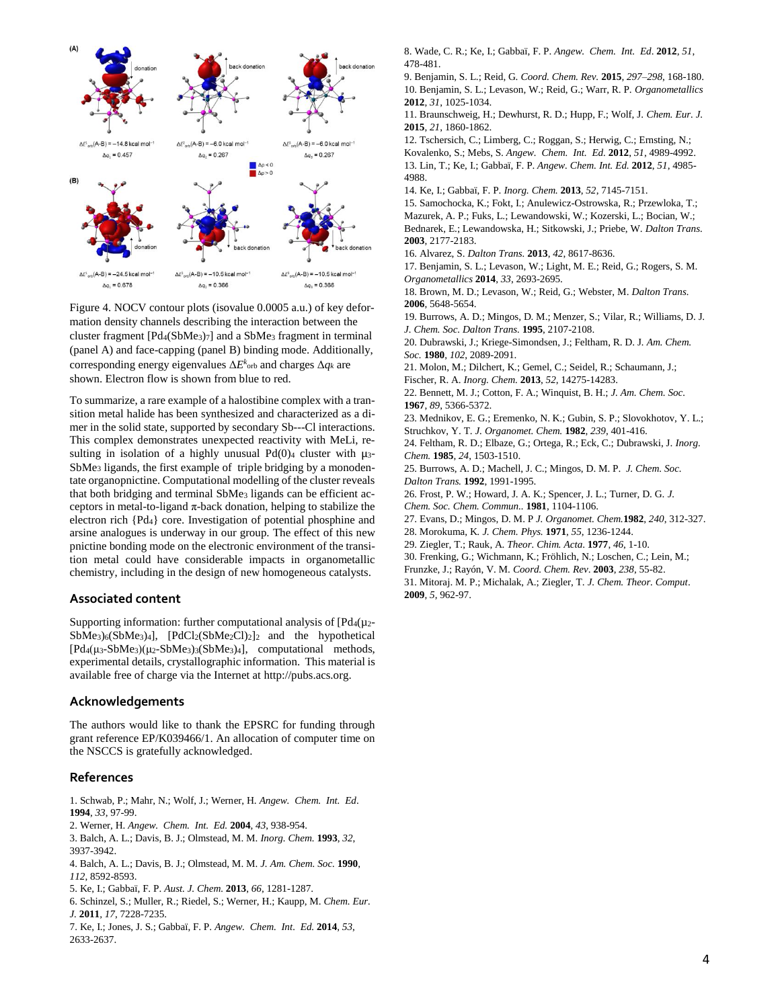

Figure 4. NOCV contour plots (isovalue 0.0005 a.u.) of key deformation density channels describing the interaction between the cluster fragment [Pd4(SbMe3)7] and a SbMe<sup>3</sup> fragment in terminal (panel A) and face-capping (panel B) binding mode. Additionally, corresponding energy eigenvalues  $\Delta E^k$ <sub>orb</sub> and charges  $\Delta q_k$  are shown. Electron flow is shown from blue to red.

To summarize, a rare example of a halostibine complex with a transition metal halide has been synthesized and characterized as a dimer in the solid state, supported by secondary Sb---Cl interactions. This complex demonstrates unexpected reactivity with MeLi, resulting in isolation of a highly unusual  $Pd(0)$  cluster with  $\mu_3$ -SbMe<sup>3</sup> ligands, the first example of triple bridging by a monodentate organopnictine. Computational modelling of the cluster reveals that both bridging and terminal SbMe<sup>3</sup> ligands can be efficient acceptors in metal-to-ligand π-back donation, helping to stabilize the electron rich {Pd4} core. Investigation of potential phosphine and arsine analogues is underway in our group. The effect of this new pnictine bonding mode on the electronic environment of the transition metal could have considerable impacts in organometallic chemistry, including in the design of new homogeneous catalysts.

#### **Associated content**

Supporting information: further computational analysis of  $[Pd_4(\mu_2-$ SbMe<sub>3</sub>)<sub>6</sub>(SbMe<sub>3</sub>)<sub>4</sub>], [PdCl<sub>2</sub>(SbMe<sub>2</sub>Cl)<sub>2</sub>]<sub>2</sub> and the hypothetical [Pd4(μ3-SbMe3)(μ2-SbMe3)3(SbMe3)4], computational methods, experimental details, crystallographic information. This material is available free of charge via the Internet at http://pubs.acs.org.

## **Acknowledgements**

The authors would like to thank the EPSRC for funding through grant reference EP/K039466/1. An allocation of computer time on the NSCCS is gratefully acknowledged.

## **References**

1. Schwab, P.; Mahr, N.; Wolf, J.; Werner, H. *Angew. Chem. Int. Ed*. **1994**, *33*, 97-99.

2. Werner, H. *Angew. Chem. Int. Ed.* **2004**, *43*, 938-954.

3. Balch, A. L.; Davis, B. J.; Olmstead, M. M. *Inorg. Chem.* **1993**, *32*, 3937-3942.

4. Balch, A. L.; Davis, B. J.; Olmstead, M. M. *J. Am. Chem. Soc.* **1990**, *112*, 8592-8593.

5. Ke, I.; Gabbaï, F. P. *Aust. J. Chem.* **2013**, *66*, 1281-1287.

6. Schinzel, S.; Muller, R.; Riedel, S.; Werner, H.; Kaupp, M. *Chem. Eur. J.* **2011***, 17*, 7228-7235.

7. Ke, I.; Jones, J. S.; Gabbaï, F. P. *Angew. Chem. Int. Ed.* **2014**, *53*, 2633-2637.

8. Wade, C. R.; Ke, I.; Gabbaï, F. P. *Angew. Chem. Int. Ed*. **2012**, *51*, 478-481.

9. Benjamin, S. L.; Reid, G. *Coord. Chem. Rev.* **2015**, *297–298*, 168-180. 10. Benjamin, S. L.; Levason, W.; Reid, G.; Warr, R. P. *Organometallics* **2012**, *31*, 1025-1034.

11. Braunschweig, H.; Dewhurst, R. D.; Hupp, F.; Wolf, J. *Chem. Eur. J.* **2015**, *21*, 1860-1862.

12. Tschersich, C.; Limberg, C.; Roggan, S.; Herwig, C.; Ernsting, N.;

Kovalenko, S.; Mebs, S. *Angew. Chem. Int. Ed.* **2012**, *51*, 4989-4992. 13. Lin, T.; Ke, I.; Gabbaï, F. P. *Angew. Chem. Int. Ed.* **2012**, *51*, 4985- 4988.

14. Ke, I.; Gabbaï, F. P. *Inorg. Chem.* **2013**, *52*, 7145-7151.

15. Samochocka, K.; Fokt, I.; Anulewicz-Ostrowska, R.; Przewloka, T.; Mazurek, A. P.; Fuks, L.; Lewandowski, W.; Kozerski, L.; Bocian, W.;

Bednarek, E.; Lewandowska, H.; Sitkowski, J.; Priebe, W. *Dalton Trans.* **2003**, 2177-2183.

16. Alvarez, S. *Dalton Trans.* **2013**, *42*, 8617-8636.

17. Benjamin, S. L.; Levason, W.; Light, M. E.; Reid, G.; Rogers, S. M. *Organometallics* **2014**, *33*, 2693-2695.

18. Brown, M. D.; Levason, W.; Reid, G.; Webster, M. *Dalton Trans.*  **2006**, 5648-5654.

19. Burrows, A. D.; Mingos, D. M.; Menzer, S.; Vilar, R.; Williams, D. J. *J. Chem. Soc. Dalton Trans.* **1995**, 2107-2108.

20. Dubrawski, J.; Kriege-Simondsen, J.; Feltham, R. D. J*. Am. Chem. Soc.* **1980**, *102*, 2089-2091.

21. Molon, M.; Dilchert, K.; Gemel, C.; Seidel, R.; Schaumann, J.; Fischer, R. A. *Inorg. Chem.* **2013**, *52*, 14275-14283.

22. Bennett, M. J.; Cotton, F. A.; Winquist, B. H.; *J. Am. Chem. Soc.*  **1967**, *89*, 5366-5372.

23. Mednikov, E. G.; Eremenko, N. K.; Gubin, S. P.; Slovokhotov, Y. L.; Struchkov, Y. T. *J. Organomet. Chem.* **1982**, *239*, 401-416.

24. Feltham, R. D.; Elbaze, G.; Ortega, R.; Eck, C.; Dubrawski, J. *Inorg. Chem.* **1985**, *24*, 1503-1510.

25. Burrows, A. D.; Machell, J. C.; Mingos, D. M. P. *J. Chem. Soc. Dalton Trans.* **1992**, 1991-1995.

26. Frost, P. W.; Howard, J. A. K.; Spencer, J. L.; Turner, D. G. *J. Chem. Soc. Chem. Commun..* **1981**, 1104-1106.

27. Evans, D.; Mingos, D. M. P *J. Organomet. Chem.***1982**, *240*, 312-327.

28. Morokuma, K*. J. Chem. Phys.* **1971**, *55*, 1236-1244.

29. Ziegler, T.; Rauk, A. *Theor. Chim. Acta*. **1977**, *46*, 1-10.

30. Frenking, G.; Wichmann, K.; Fröhlich, N.; Loschen, C.; Lein, M.;

Frunzke, J.; Rayón, V. M. *Coord. Chem. Rev*. **2003**, *238*, 55-82.

31. Mitoraj. M. P.; Michalak, A.; Ziegler, T. *J. Chem. Theor. Comput*. **2009**, *5*, 962-97.